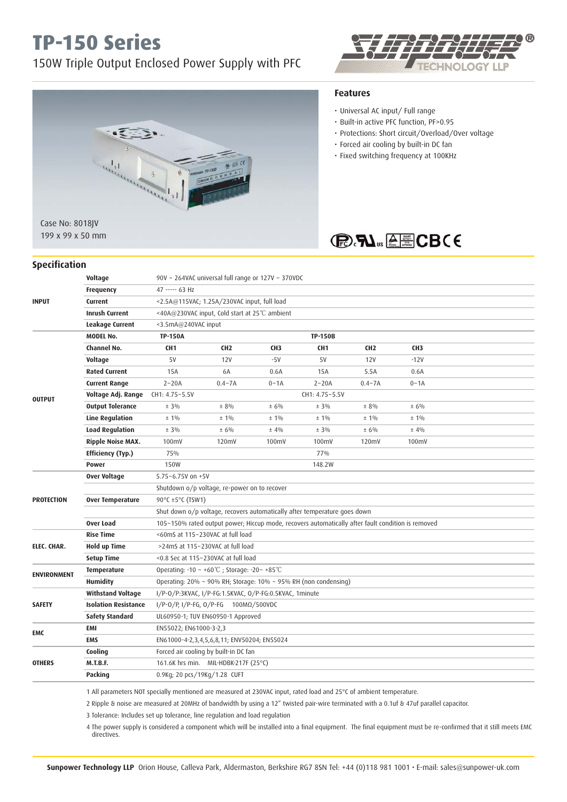# **TP-150 Series**

## 150W Triple Output Enclosed Power Supply with PFC



199 x 99 x 50 mm

# OLOGY

## **Features**

- Universal AC input/ Full range
- Built-in active PFC function, PF>0.95
- Protections: Short circuit/Overload/Over voltage
- Forced air cooling by built-in DC fan
- Fixed switching frequency at 100KHz



| <b>Specification</b> |  |
|----------------------|--|
|                      |  |

| <b>INPUT</b>       | Voltage                     |                                                                                                   | 90V ~ 264VAC universal full range or 127V ~ 370VDC |                 |                 |                 |                 |  |  |  |
|--------------------|-----------------------------|---------------------------------------------------------------------------------------------------|----------------------------------------------------|-----------------|-----------------|-----------------|-----------------|--|--|--|
|                    | <b>Frequency</b>            | 47 ----- 63 Hz                                                                                    |                                                    |                 |                 |                 |                 |  |  |  |
|                    | Current                     | <2.5A@115VAC; 1.25A/230VAC input, full load                                                       |                                                    |                 |                 |                 |                 |  |  |  |
|                    | <b>Inrush Current</b>       |                                                                                                   | <40A@230VAC input, Cold start at 25°C ambient      |                 |                 |                 |                 |  |  |  |
|                    | Leakage Current             | <3.5mA@240VAC input                                                                               |                                                    |                 |                 |                 |                 |  |  |  |
|                    | <b>MODEL No.</b>            | <b>TP-150A</b>                                                                                    | <b>TP-150B</b>                                     |                 |                 |                 |                 |  |  |  |
|                    | Channel No.                 | CH <sub>1</sub>                                                                                   | CH <sub>2</sub>                                    | CH <sub>3</sub> | CH <sub>1</sub> | CH <sub>2</sub> | CH <sub>3</sub> |  |  |  |
|                    | Voltage                     | 5V                                                                                                | 12V                                                | $-5V$           | 5V              | <b>12V</b>      | $-12V$          |  |  |  |
|                    | <b>Rated Current</b>        | 15A                                                                                               | 6A                                                 | 0.6A            | 15A             | 5.5A            | 0.6A            |  |  |  |
|                    | <b>Current Range</b>        | $2 - 20A$                                                                                         | $0.4 - 7A$                                         | $0 - 1A$        | $2 - 20A$       | $0.4 - 7A$      | $0 - 1A$        |  |  |  |
| <b>OUTPUT</b>      | Voltage Adj. Range          | CH1: 4.75~5.5V                                                                                    | CH1: 4.75~5.5V                                     |                 |                 |                 |                 |  |  |  |
|                    | <b>Output Tolerance</b>     | $± 3\%$                                                                                           | $± 8\%$                                            | ± 6%            | $± 3\%$         | ± 8%            | ± 6%            |  |  |  |
|                    | <b>Line Regulation</b>      | $±1\%$                                                                                            | $±1\%$                                             | $± 1\%$         | ±1%             | $± 1\%$         | $± 1\%$         |  |  |  |
|                    | <b>Load Regulation</b>      | $± 3\%$                                                                                           | ± 6%                                               | ±4%             | $± 3\%$         | ± 6%            | ± 4%            |  |  |  |
|                    | Ripple Noise MAX.           | 100mV                                                                                             | 120mV                                              | 100mV           | 100mV           | 120mV           | 100mV           |  |  |  |
|                    | <b>Efficiency (Typ.)</b>    | 75%                                                                                               |                                                    |                 | 77%             |                 |                 |  |  |  |
|                    | <b>Power</b>                | <b>150W</b>                                                                                       |                                                    |                 | 148.2W          |                 |                 |  |  |  |
| <b>PROTECTION</b>  | <b>Over Voltage</b>         | 5.75~6.75V on +5V                                                                                 |                                                    |                 |                 |                 |                 |  |  |  |
|                    |                             | Shutdown o/p voltage, re-power on to recover                                                      |                                                    |                 |                 |                 |                 |  |  |  |
|                    | <b>Over Temperature</b>     | 90 $\degree$ C ±5 $\degree$ C (TSW1)                                                              |                                                    |                 |                 |                 |                 |  |  |  |
|                    |                             | Shut down o/p voltage, recovers automatically after temperature goes down                         |                                                    |                 |                 |                 |                 |  |  |  |
|                    | <b>Over Load</b>            | 105~150% rated output power; Hiccup mode, recovers automatically after fault condition is removed |                                                    |                 |                 |                 |                 |  |  |  |
|                    | <b>Rise Time</b>            | <60mS at 115~230VAC at full load                                                                  |                                                    |                 |                 |                 |                 |  |  |  |
| ELEC. CHAR.        | <b>Hold up Time</b>         | >24mS at 115~230VAC at full load                                                                  |                                                    |                 |                 |                 |                 |  |  |  |
|                    | <b>Setup Time</b>           | <0.8 Sec at 115~230VAC at full load                                                               |                                                    |                 |                 |                 |                 |  |  |  |
| <b>ENVIRONMENT</b> | Temperature                 | Operating: -10 ~ +60℃; Storage: -20~ +85℃                                                         |                                                    |                 |                 |                 |                 |  |  |  |
|                    | <b>Humidity</b>             | Operating: 20% ~ 90% RH; Storage: 10% ~ 95% RH (non condensing)                                   |                                                    |                 |                 |                 |                 |  |  |  |
|                    | <b>Withstand Voltage</b>    | I/P-0/P:3KVAC, I/P-FG:1.5KVAC, 0/P-FG:0.5KVAC, 1minute                                            |                                                    |                 |                 |                 |                 |  |  |  |
| <b>SAFETY</b>      | <b>Isolation Resistance</b> | I/P-0/P, I/P-FG, 0/P-FG $100M\Omega/500VDC$                                                       |                                                    |                 |                 |                 |                 |  |  |  |
|                    | <b>Safety Standard</b>      | UL60950-1; TUV EN60950-1 Approved                                                                 |                                                    |                 |                 |                 |                 |  |  |  |
| EMC                | EMI                         | EN55022; EN61000-3-2,3                                                                            |                                                    |                 |                 |                 |                 |  |  |  |
|                    | <b>EMS</b>                  |                                                                                                   | EN61000-4-2,3,4,5,6,8,11; ENV50204; EN55024        |                 |                 |                 |                 |  |  |  |
|                    | Cooling                     |                                                                                                   | Forced air cooling by built-in DC fan              |                 |                 |                 |                 |  |  |  |
| <b>OTHERS</b>      | <b>M.T.B.F.</b>             |                                                                                                   | 161.6K hrs min. MIL-HDBK-217F (25°C)               |                 |                 |                 |                 |  |  |  |
|                    | Packing                     |                                                                                                   | 0.9Kg; 20 pcs/19Kg/1.28 CUFT                       |                 |                 |                 |                 |  |  |  |
|                    |                             |                                                                                                   |                                                    |                 |                 |                 |                 |  |  |  |

1 All parameters NOT specially mentioned are measured at 230VAC input, rated load and 25°C of ambient temperature.

2 Ripple & noise are measured at 20MHz of bandwidth by using a 12" twisted pair-wire terminated with a 0.1uf & 47uf parallel capacitor.

3 Tolerance: Includes set up tolerance, line regulation and load regulation

 4 The power supply is considered a component which will be installed into a final equipment. The final equipment must be re-confirmed that it still meets EMC directives.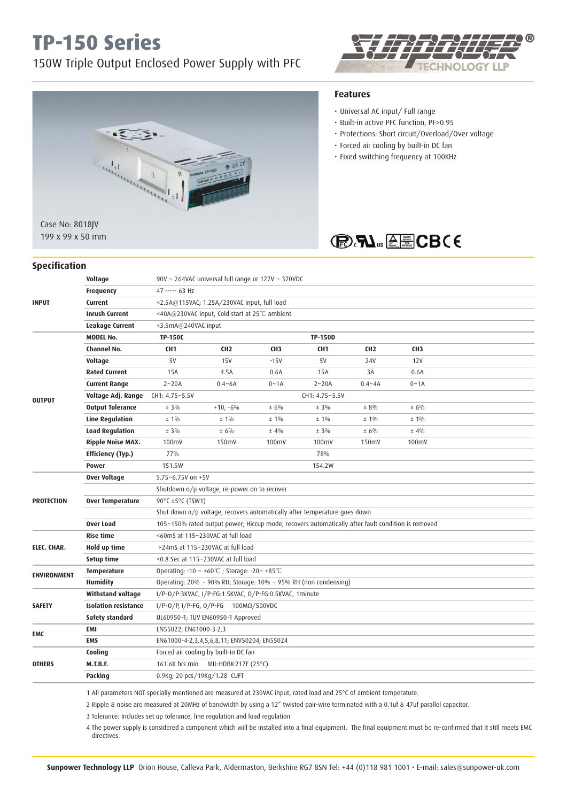# **TP-150 Series**

## 150W Triple Output Enclosed Power Supply with PFC





199 x 99 x 50 mm

#### **Specification**

#### **Voltage** 90V ~ 264VAC universal full range or 127V ~ 370VDC **Frequency** 47 ----- 63 Hz **INPUT Current** <2.5A@115VAC; 1.25A/230VAC input, full load  **Inrush Current** <40A@230VAC input, Cold start at 25℃ ambient  **Leakage Current** <3.5mA@240VAC input  **MODEL No. TP-150C TP-150D Channel No. CH1 CH2 CH3 CH1 CH2 CH3 Voltage** 5V 15V -15V 5V 24V 12V  **Rated Current** 15A 4.5A 0.6A 15A 3A 0.6A  **Current Range** 2~20A 0.4~6A 0~1A 2~20A 0.4~4A 0~1A **OUTPUT Voltage Adj. Range** CH1: 4.75~5.5V CH1: 4.75~5.5V CH1: 4.75~5.5V<br> **Output Tolerance**  $\pm 3\%$   $\pm 10.0006$   $\pm 6\%$   $\pm 6\%$   $\pm 3\%$ **Output Tolerance**  $\pm 3\%$   $\pm 3\%$   $\pm 6\%$   $\pm 6\%$   $\pm 3\%$   $\pm 8\%$   $\pm 8\%$   $\pm 6\%$ **Line Regulation**  $\pm 1\%$   $\pm 1\%$   $\pm 1\%$   $\pm 1\%$   $\pm 1\%$   $\pm 1\%$   $\pm 1\%$   $\pm 1\%$ **Load Regulation**  $\pm 3\%$   $\pm 6\%$   $\pm 4\%$   $\pm 3\%$   $\pm 6\%$   $\pm 4\%$  **Ripple Noise MAX.** 100mV 150mV 100mV 100mV 150mV 100mV **Efficiency (Typ.)** 77% 78% 78% **Power** 151.5W 151.5W 154.2W  **Over Voltage** 5.75~6.75V on +5V Shutdown o/p voltage, re-power on to recover **PROTECTION Over Temperature 90°C** ±5°C (TSW1) Shut down o/p voltage, recovers automatically after temperature goes down **Over Load** 105~150% rated output power; Hiccup mode, recovers automatically after fault condition is removed **Rise time**  $\leq 60$ mS at 115~230VAC at full load **ELEC. CHAR. Hold up time** >24mS at 115~230VAC at full load **Setup time** <0.8 Sec at 115~230VAC at full load **ENVIRONMENT**<br> **ENVIRONMENT**<br> **Humidity**<br>
Operating: 20% ~ 90% RH; Storage: 10% ~ 9  **Humidity** Operating: 20% ~ 90% RH; Storage: 10% ~ 95% RH (non condensing)  **Withstand voltage** I/P-O/P:3KVAC, I/P-FG:1.5KVAC, O/P-FG:0.5KVAC, 1minute

| <b>SAFETY</b> | <b>Isolation resistance</b> | I/P-0/P, I/P-FG, 0/P-FG $100M\Omega/500VDC$ |
|---------------|-----------------------------|---------------------------------------------|
|               | Safety standard             | UL60950-1; TUV EN60950-1 Approved           |
| <b>EMC</b>    | EMI                         | EN55022; EN61000-3-2,3                      |
| <b>OTHERS</b> | <b>EMS</b>                  | EN61000-4-2,3,4,5,6,8,11; ENV50204; EN55024 |
|               | Cooling                     | Forced air cooling by built-in DC fan       |
|               | <b>M.T.B.F.</b>             | 161.6K hrs min. MIL-HDBK-217F (25°C)        |
|               | Packing                     | 0.9Kg; 20 pcs/19Kg/1.28 CUFT                |

1 All parameters NOT specially mentioned are measured at 230VAC input, rated load and 25°C of ambient temperature.

2 Ripple & noise are measured at 20MHz of bandwidth by using a 12" twisted pair-wire terminated with a 0.1uf & 47uf parallel capacitor.

3 Tolerance: Includes set up tolerance, line regulation and load regulation

 4 The power supply is considered a component which will be installed into a final equipment. The final equipment must be re-confirmed that it still meets EMC directives.

### **Features**

- Universal AC input/ Full range
- Built-in active PFC function, PF>0.95
- Protections: Short circuit/Overload/Over voltage
- Forced air cooling by built-in DC fan
- Fixed switching frequency at 100KHz